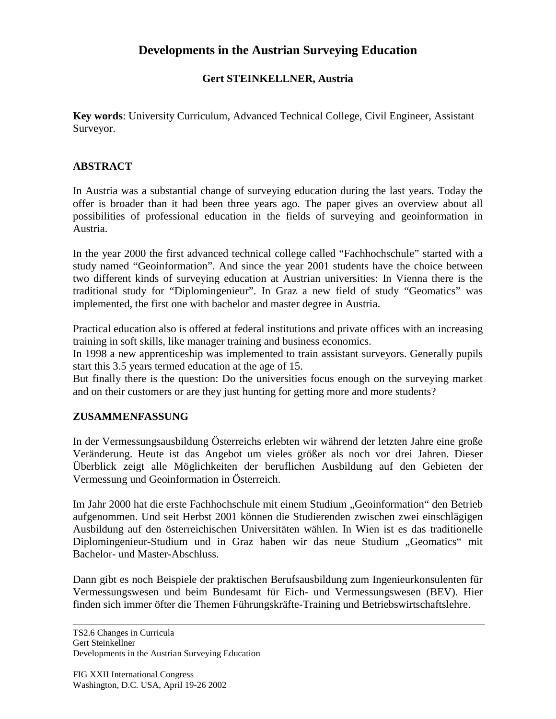# **Developments in the Austrian Surveying Education**

### **Gert STEINKELLNER, Austria**

**Key words**: University Curriculum, Advanced Technical College, Civil Engineer, Assistant Surveyor.

#### **ABSTRACT**

In Austria was a substantial change of surveying education during the last years. Today the offer is broader than it had been three years ago. The paper gives an overview about all possibilities of professional education in the fields of surveying and geoinformation in Austria.

In the year 2000 the first advanced technical college called "Fachhochschule" started with a study named "Geoinformation". And since the year 2001 students have the choice between two different kinds of surveying education at Austrian universities: In Vienna there is the traditional study for "Diplomingenieur". In Graz a new field of study "Geomatics" was implemented, the first one with bachelor and master degree in Austria.

Practical education also is offered at federal institutions and private offices with an increasing training in soft skills, like manager training and business economics.

In 1998 a new apprenticeship was implemented to train assistant surveyors. Generally pupils start this 3.5 years termed education at the age of 15.

But finally there is the question: Do the universities focus enough on the surveying market and on their customers or are they just hunting for getting more and more students?

#### **ZUSAMMENFASSUNG**

In der Vermessungsausbildung Österreichs erlebten wir während der letzten Jahre eine große Veränderung. Heute ist das Angebot um vieles größer als noch vor drei Jahren. Dieser Überblick zeigt alle Möglichkeiten der beruflichen Ausbildung auf den Gebieten der Vermessung und Geoinformation in Österreich.

Im Jahr 2000 hat die erste Fachhochschule mit einem Studium "Geoinformation" den Betrieb aufgenommen. Und seit Herbst 2001 können die Studierenden zwischen zwei einschlägigen Ausbildung auf den österreichischen Universitäten wählen. In Wien ist es das traditionelle Diplomingenieur-Studium und in Graz haben wir das neue Studium "Geomatics" mit Bachelor- und Master-Abschluss.

Dann gibt es noch Beispiele der praktischen Berufsausbildung zum Ingenieurkonsulenten für Vermessungswesen und beim Bundesamt für Eich- und Vermessungswesen (BEV). Hier finden sich immer öfter die Themen Führungskräfte-Training und Betriebswirtschaftslehre.